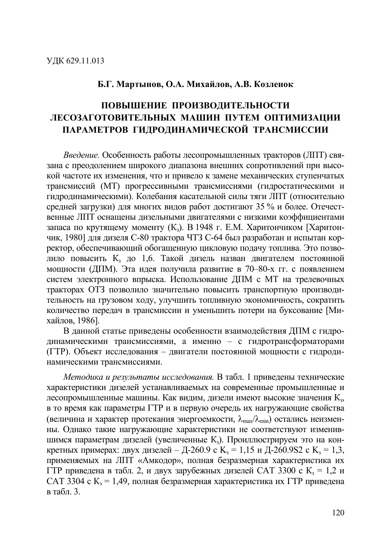### Б.Г. Мартынов, О.А. Михайлов, А.В. Козленок

# ПОВЫШЕНИЕ ПРОИЗВОДИТЕЛЬНОСТИ ЛЕСОЗАГОТОВИТЕЛЬНЫХ МАШИН ПУТЕМ ОПТИМИЗАЦИИ ПАРАМЕТРОВ ГИДРОДИНАМИЧЕСКОЙ ТРАНСМИССИИ

Введение. Особенность работы лесопромышленных тракторов (ЛПТ) связана с преодолением широкого диапазона внешних сопротивлений при высокой частоте их изменения, что и привело к замене механических ступенчатых трансмиссий (МТ) прогрессивными трансмиссиями (гидростатическими и гидродинамическими). Колебания касательной силы тяги ЛПТ (относительно средней загрузки) для многих видов работ достигают 35 % и более. Отечественные ЛПТ оснащены дизельными двигателями с низкими коэффициентами запаса по крутящему моменту (К<sub>2</sub>). В 1948 г. Е.М. Харитончиком [Харитончик, 1980] для дизеля С-80 трактора ЧТЗ С-64 был разработан и испытан корректор, обеспечивающий обогащенную цикловую подачу топлива. Это позволило повысить К<sub>з</sub> до 1,6. Такой дизель назван двигателем постоянной мощности (ДПМ). Эта идея получила развитие в 70-80-х гг. с появлением систем электронного впрыска. Использование ДПМ с МТ на трелевочных тракторах ОТЗ позволило значительно повысить транспортную производительность на грузовом ходу, улучшить топливную экономичность, сократить количество передач в трансмиссии и уменьшить потери на буксование [Михайлов, 1986].

В данной статье приведены особенности взаимодействия ДПМ с гидродинамическими трансмиссиями, а именно - с гидротрансформаторами (ГТР). Объект исследования - двигатели постоянной мощности с гидродинамическими трансмиссиями.

Методика и результаты исследования. В табл. 1 приведены технические характеристики дизелей устанавливаемых на современные промышленные и лесопромышленные машины. Как видим, дизели имеют высокие значения К<sub>3</sub>, в то время как параметры ГТР и в первую очередь их нагружающие свойства (величина и характер протекания энергоемкости,  $\lambda_{\text{max}}/\lambda_{\text{min}}$ ) остались неизменны. Однако такие нагружающие характеристики не соответствуют изменившимся параметрам дизелей (увеличенные К<sub>3</sub>). Проиллюстрируем это на конкретных примерах: двух дизелей – Д-260.9 с К<sub>3</sub> = 1,15 и Д-260.9S2 с К<sub>3</sub> = 1,3, применяемых на ЛПТ «Амкодор», полная безразмерная характеристика их ГТР приведена в табл. 2, и двух зарубежных дизелей САТ 3300 с  $K<sub>3</sub> = 1.2$  и САТ 3304 с  $K_3 = 1,49$ , полная безразмерная характеристика их ГТР приведена в табл.  $3$ .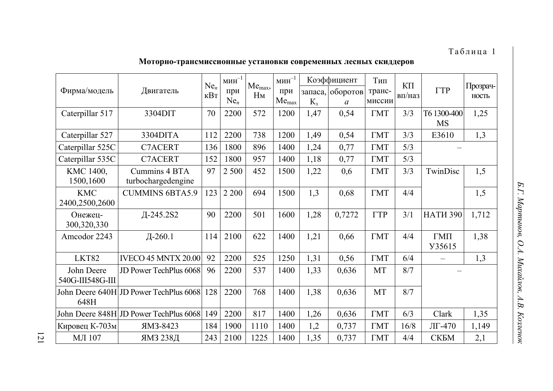## Таблица 1

## **ぜÜöÜëÖÜ-öëíÖï½óïïóÜÖÖ▲ñ ÜïöíÖÜç¡ó ïÜçëñ½ñÖÖ▲ê ¿ñïÖ▲ê ï¡óÑÑñëÜç**

| Фирма/модель                   | Двигатель                              |     | $\text{MH}^{-1}$<br>при<br>$Ne_n$ | Me <sub>max</sub> ,<br>$H_M$ | $MHH$ <sup>-1</sup><br>при<br>Me <sub>max</sub> | запаса.<br>$K_{3}$ | Коэффициент<br>оборотов<br>$\boldsymbol{a}$ | Тип<br>транс-<br>миссии | $K\Pi$<br>вп/наз | $\Gamma T$ P                      | Прозрач-<br>НОСТЬ |
|--------------------------------|----------------------------------------|-----|-----------------------------------|------------------------------|-------------------------------------------------|--------------------|---------------------------------------------|-------------------------|------------------|-----------------------------------|-------------------|
| Caterpillar 517                | 3304DIT                                | 70  | 2200                              | 572                          | 1200                                            | 1,47               | 0,54                                        | <b>TMT</b>              | 3/3              | T6 1300-400<br><b>MS</b>          | 1,25              |
| Caterpillar 527                | 3304DITA                               | 112 | 2200                              | 738                          | 1200                                            | 1,49               | 0,54                                        | $\Gamma$ MT             | 3/3              | E3610                             | 1,3               |
| Caterpillar 525C               | <b>C7ACERT</b>                         | 136 | 1800                              | 896                          | 1400                                            | 1,24               | 0,77                                        | $\Gamma$ MT             | 5/3              |                                   |                   |
| Caterpillar 535C               | <b>C7ACERT</b>                         | 152 | 1800                              | 957                          | 1400                                            | 1,18               | 0,77                                        | $\Gamma$ MT             | 5/3              |                                   |                   |
| KMC 1400,<br>1500,1600         | Cummins 4 BTA<br>turbochargedengine    | 97  | 2 500                             | 452                          | 1500                                            | 1,22               | 0,6                                         | $\Gamma$ MT             | 3/3              | TwinDisc                          | 1,5               |
| <b>KMC</b><br>2400,2500,2600   | <b>CUMMINS 6BTA5.9</b>                 | 123 | 2 2 0 0                           | 694                          | 1500                                            | 1,3                | 0,68                                        | $\Gamma$ MT             | 4/4              |                                   | 1,5               |
| Онежец-<br>300,320,330         | Д-245.2S2                              | 90  | 2200                              | 501                          | 1600                                            | 1,28               | 0,7272                                      | $\Gamma T$ P            | 3/1              | <b>HATM 390</b>                   | 1,712             |
| Amcodor 2243                   | Д-260.1                                | 114 | 2100                              | 622                          | 1400                                            | 1,21               | 0,66                                        | $\Gamma$ MT             | 4/4              | $\Gamma$ M $\Pi$<br><b>Y35615</b> | 1,38              |
| LKT82                          | <b>IVECO 45 MNTX 20.00</b>             | 92  | 2200                              | 525                          | 1250                                            | 1,31               | 0,56                                        | $\Gamma$ MT             | 6/4              |                                   | 1,3               |
| John Deere<br>540G-III548G-III | JD Power TechPlus 6068                 | 96  | 2200                              | 537                          | 1400                                            | 1,33               | 0,636                                       | MT                      | 8/7              |                                   |                   |
| 648H                           | John Deere 640H JD Power TechPlus 6068 | 128 | 2200                              | 768                          | 1400                                            | 1,38               | 0,636                                       | <b>MT</b>               | 8/7              |                                   |                   |
|                                | John Deere 848H JD Power TechPlus 6068 | 149 | 2200                              | 817                          | 1400                                            | 1,26               | 0,636                                       | $\Gamma$ MT             | 6/3              | Clark                             | 1,35              |
| Кировец К-703м                 | ЯМЗ-8423                               | 184 | 1900                              | 1110                         | 1400                                            | 1,2                | 0,737                                       | <b>TMT</b>              | 16/8             | $J\Gamma$ -470                    | 1,149             |
| <b>МЛ</b> 107                  | ЯМЗ 238Д                               | 243 | 2100                              | 1225                         | 1400                                            | 1,35               | 0,737                                       | $\Gamma$ MT             | 4/4              | <b>CKEM</b>                       | 2,1               |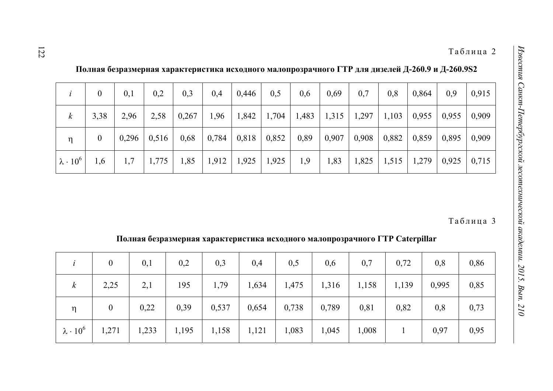|                      | $\overline{0}$   | 0,1   | 0,2   | 0,3   | 0,4   | 0,446             | 0,5   | 0,6  | 0,69 | 0,7             | 0,8                                             | 0,864 | 0,9   | 0,915 |
|----------------------|------------------|-------|-------|-------|-------|-------------------|-------|------|------|-----------------|-------------------------------------------------|-------|-------|-------|
| $\kappa$             | 3,38             | 2,96  | 2,58  | 0,267 | 1,96  | 1,842             |       |      |      |                 | $1,704$   1,483   1,315   1,297   1,103   0,955 |       | 0,955 | 0,909 |
| η                    | $\boldsymbol{0}$ | 0,296 | 0,516 | 0,68  |       | $0,784$   $0,818$ | 0,852 | 0,89 |      | $0,907$   0,908 | 0,882                                           | 0,859 | 0,895 | 0,909 |
| $\lambda \cdot 10^6$ | 1,6              | 1,7   | 1,775 | 1,85  | 1,912 | 1,925             | 1,925 | 1,9  | 1,83 |                 | $1,825$   1,515   1,279                         |       | 0,925 | 0,715 |

 $\Pi$ олная безразмерная характеристика исходного малопрозрачного ГТР для дизелей Д-260.9 и Д-260.9S2

**ぢÜ¿Öí ßñ£ëí£½ñëÖí êíëí¡öñëóïöó¡í óïêÜÑÖÜÇÜ ½í¿ÜäëÜ£ëíôÖÜÇÜ ゎどづ Caterpillar** 

|                      | $\boldsymbol{0}$ | 0,1   | 0,2   | 0,3   | 0,4   | 0,5   | 0,6   | 0,7   | 0,72  | 0,8   | 0,86 |
|----------------------|------------------|-------|-------|-------|-------|-------|-------|-------|-------|-------|------|
| $\boldsymbol{k}$     | 2,25             | 2,1   | 195   | 1,79  | 1,634 | 1,475 | 1,316 | 1,158 | 1,139 | 0,995 | 0,85 |
| $\eta$               | $\boldsymbol{0}$ | 0,22  | 0,39  | 0,537 | 0,654 | 0,738 | 0,789 | 0,81  | 0,82  | 0,8   | 0,73 |
| $\lambda \cdot 10^6$ | 1,271            | 1,233 | 1,195 | 1,158 | 1,121 | 1,083 | 1,045 | 1,008 |       | 0,97  | 0,95 |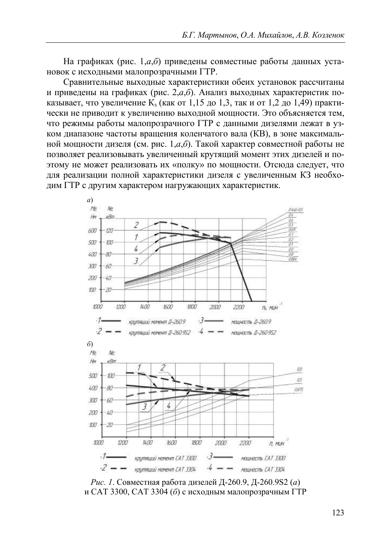На графиках (рис. 1,*а*,*б*) приведены совместные работы данных установок с исходными малопрозрачными ГТР.

Сравнительные выходные характеристики обеих установок рассчитаны и приведены на графиках (рис. 2, *а*, *б*). Анализ выходных характеристик показывает, что увеличение  $K<sub>3</sub>$  (как от 1,15 до 1,3, так и от 1,2 до 1,49) практически не приводит к увеличению выходной мощности. Это объясняется тем, что режимы работы малопрозрачного ГТР с данными дизелями лежат в узком диапазоне частоты вращения коленчатого вала (КВ), в зоне максимальной мощности дизеля (см. рис. 1, $a, \overline{b}$ ). Такой характер совместной работы не позволяет реализовывать увеличенный крутящий момент этих дизелей и поэтому не может реализовать их «полку» по мощности. Отсюда следует, что для реализации полной характеристики дизеля с увеличенным КЗ необходим ГТР с другим характером нагружающих характеристик.



Рис. 1. Совместная работа дизелей Д-260.9, Д-260.9S2 (а) и САТ 3300, САТ 3304 (б) с исходным малопрозрачным ГТР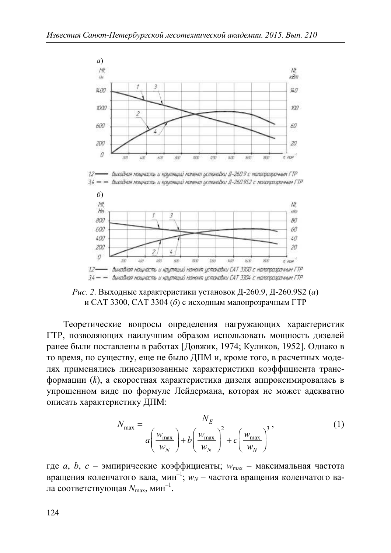

- Выхадная мощность и крупящий момент установки Д-260 9 с малопразрачным ГТР  $12-$ 34 — — Виходная мощность и крутящий момент цстановки Д-260.952 с малопрозрачным ГТР



Рис. 2. Выходные характеристики установок Д-260.9, Д-260.9S2 (а) и САТ 3300, САТ 3304 (б) с исходным малопрозрачным ГТР

Теоретические вопросы определения нагружающих характеристик ГТР, позволяющих наилучшим образом использовать мощность дизелей ранее были поставлены в работах [Довжик, 1974; Куликов, 1952]. Однако в то время, по существу, еще не было ДПМ и, кроме того, в расчетных моделях применялись линеаризованные характеристики коэффициента трансформации (k), а скоростная характеристика дизеля аппроксимировалась в упрощенном виде по формуле Лейдермана, которая не может адекватно описать характеристику ДПМ:

$$
N_{\text{max}} = \frac{N_E}{a \left(\frac{w_{\text{max}}}{w_N}\right) + b \left(\frac{w_{\text{max}}}{w_N}\right)^2 + c \left(\frac{w_{\text{max}}}{w_N}\right)^3},\tag{1}
$$

где *а*, *b*, *c* – эмпирические коэффициенты;  $w_{\text{max}}$  – максимальная частота вращения коленчатого вала, мин<sup>-1</sup>;  $w_N$  – частота вращения коленчатого вала соответствующая  $N_{\text{max}}$ , мин<sup>-1</sup>.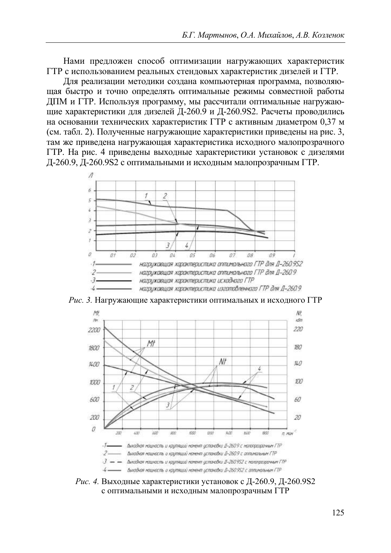Нами предложен способ оптимизации нагружающих характеристик ГТР с использованием реальных стендовых характеристик дизелей и ГТР.

Для реализации методики создана компьютерная программа, позволяющая быстро и точно определять оптимальные режимы совместной работы ДПМ и ГТР. Используя программу, мы рассчитали оптимальные нагружающие характеристики для дизелей Д-260.9 и Д-260.9 S2. Расчеты проводились на основании технических характеристик ГТР с активным диаметром 0.37 м (см. табл. 2). Полученные нагружающие характеристики приведены на рис. 3, там же приведена нагружающая характеристика исходного малопрозрачного ГТР. На рис. 4 приведены выходные характеристики установок с дизелями Д-260.9, Д-260.9S2 с оптимальными и исходным малопрозрачным ГТР.



Рис. 3. Нагружающие характеристики оптимальных и исходного ГТР



Рис. 4. Выходные характеристики установок с Д-260.9, Д-260.9S2 с оптимальными и исходным малопрозрачным ГТР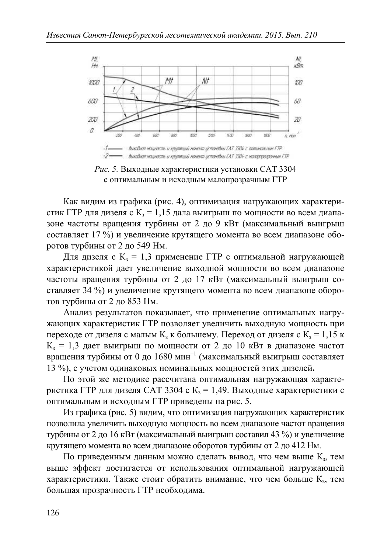

Рис. 5. Выходные характеристики установки САТ 3304 с оптимальным и исходным малопрозрачным ГТР

Как видим из графика (рис. 4), оптимизация нагружающих характеристик ГТР для дизеля с  $K_3 = 1.15$  дала выигрыш по мощности во всем диапазоне частоты вращения турбины от 2 до 9 кВт (максимальный выигрыш составляет 17 %) и увеличение крутящего момента во всем диапазоне оборотов турбины от 2 до 549 Нм.

Для дизеля с  $K_3 = 1,3$  применение ГТР с оптимальной нагружающей характеристикой дает увеличение выходной мощности во всем диапазоне частоты вращения турбины от 2 до 17 кВт (максимальный выигрыш составляет 34 %) и увеличение крутящего момента во всем диапазоне оборотов турбины от 2 до 853 Нм.

Анализ результатов показывает, что применение оптимальных нагружающих характеристик ГТР позволяет увеличить выходную мощность при переходе от дизеля с малым  $K<sub>3</sub>$  к большему. Переход от дизеля с  $K<sub>3</sub> = 1,15$  к  $K<sub>3</sub> = 1,3$  дает выигрыш по мощности от 2 до 10 кВт в диапазоне частот вращения турбины от 0 до 1680 мин<sup>-1</sup> (максимальный выигрыш составляет 13 %), с учетом одинаковых номинальных мощностей этих дизелей.

По этой же методике рассчитана оптимальная нагружающая характеристика ГТР для дизеля САТ 3304 с К<sub>3</sub> = 1,49. Выходные характеристики с оптимальным и исходным ГТР приведены на рис. 5.

Из графика (рис. 5) видим, что оптимизация нагружающих характеристик позволила увеличить выходную мощность во всем диапазоне частот вращения турбины от 2 до 16 кВт (максимальный выигрыш составил 43 %) и увеличение крутящего момента во всем диапазоне оборотов турбины от 2 до 412 Нм.

По приведенным данным можно сделать вывод, что чем выше  $K<sub>3</sub>$ , тем выше эффект достигается от использования оптимальной нагружающей характеристики. Также стоит обратить внимание, что чем больше К, тем большая прозрачность ГТР необходима.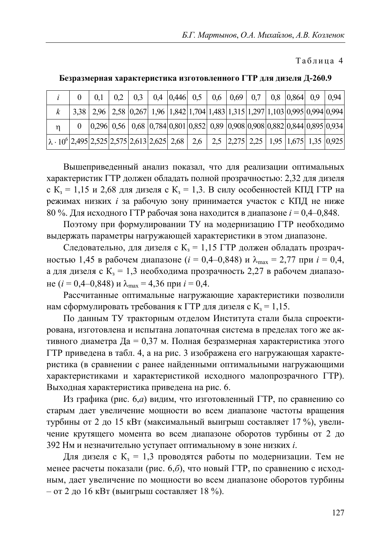Таблица 4

|                                                                                                                                     |  | $0,2$   $0,3$   $0,4$   $0,446$   $0,5$   $0,6$   $0,69$   $0,7$   $0,8$   $0,864$   $0,9$   $0,94$                                                                                                                                                                                                                                           |  |  |  |  |  |
|-------------------------------------------------------------------------------------------------------------------------------------|--|-----------------------------------------------------------------------------------------------------------------------------------------------------------------------------------------------------------------------------------------------------------------------------------------------------------------------------------------------|--|--|--|--|--|
|                                                                                                                                     |  | 3,38 2,96 2,58 0,267 1,96 1,842 1,704 1,483 1,315 1,297 1,103 0,995 0,994 0,994                                                                                                                                                                                                                                                               |  |  |  |  |  |
|                                                                                                                                     |  | $\vert 0,296 \vert 0,56 \vert 0,68 \vert 0,784 \vert 0,801 \vert 0,852 \vert 0,89 \vert 0,908 \vert 0,908 \vert 0,882 \vert 0,844 \vert 0,895 \vert 0,934 \vert 0,895 \vert 0,844 \vert 0,895 \vert 0,844 \vert 0,895 \vert 0,844 \vert 0,895 \vert 0,844 \vert 0,895 \vert 0,844 \vert 0,895 \vert 0,844 \vert 0,895 \vert 0,844 \vert 0,84$ |  |  |  |  |  |
| $\lambda$ · 10 <sup>6</sup>   2,495   2,525   2,575   2,613   2,625   2,68   2,6   2,5   2,275   2,25   1,95   1,675   1,35   0,925 |  |                                                                                                                                                                                                                                                                                                                                               |  |  |  |  |  |

### Безразмерная характеристика изготовленного ГТР для дизеля Д-260.9

Вышеприведенный анализ показал, что для реализации оптимальных характеристик ГТР должен обладать полной прозрачностью: 2,32 для дизеля с  $K_3 = 1.15$  и 2.68 для дизеля с  $K_3 = 1.3$ . В силу особенностей КПД ГТР на режимах низких і за рабочую зону принимается участок с КПД не ниже 80 %. Для исходного ГТР рабочая зона находится в диапазоне  $i = 0,4-0,848$ .

Поэтому при формулировании ТУ на модернизацию ГТР необходимо выдержать параметры нагружающей характеристики в этом диапазоне.

Следовательно, для дизеля с  $K<sub>3</sub> = 1.15$  ГТР должен обладать прозрачностью 1,45 в рабочем диапазоне ( $i = 0,4-0,848$ ) и  $\lambda_{\text{max}} = 2,77$  при  $i = 0,4$ , а для дизеля с  $K<sub>3</sub> = 1,3$  необходима прозрачность 2,27 в рабочем диапазо-He  $(i = 0.4 - 0.848)$   $\mu \lambda_{\text{max}} = 4.36$   $\mu$  i = 0.4.

Рассчитанные оптимальные нагружающие характеристики позволили нам сформулировать требования к ГТР для дизеля с  $K_1 = 1,15$ .

По данным ТУ тракторным отделом Института стали была спроектирована, изготовлена и испытана лопаточная система в пределах того же активного диаметра Да = 0,37 м. Полная безразмерная характеристика этого ГТР приведена в табл. 4, а на рис. 3 изображена его нагружающая характеристика (в сравнении с ранее найденными оптимальными нагружающими характеристиками и характеристикой исходного малопрозрачного ГТР). Выходная характеристика приведена на рис. 6.

Из графика (рис. 6, а) видим, что изготовленный ГТР, по сравнению со старым дает увеличение мощности во всем диапазоне частоты вращения турбины от 2 до 15 кВт (максимальный выигрыш составляет 17 %), увеличение крутящего момента во всем диапазоне оборотов турбины от 2 до 392 Нм и незначительно уступает оптимальному в зоне низких *i*.

Для дизеля с  $K<sub>3</sub> = 1,3$  проводятся работы по модернизации. Тем не менее расчеты показали (рис. 6,6), что новый ГТР, по сравнению с исходным, дает увеличение по мощности во всем диапазоне оборотов турбины  $-$  от 2 до 16 кВт (выигрыш составляет 18 %).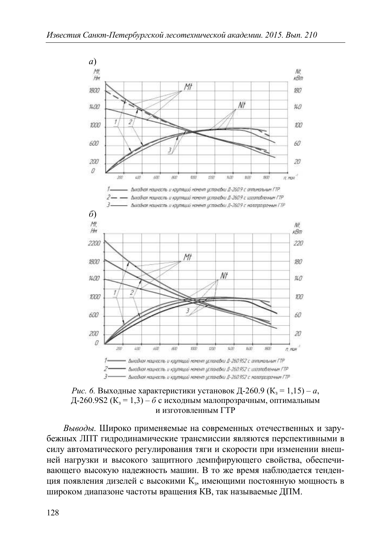

*Рис.* 6. Выходные характеристики установок Д-260.9 ( $K_3 = 1,15$ ) – a, Д-260.9S2 ( $K_3 = 1,3$ ) – б с исходным малопрозрачным, оптимальным и изготовленным ГТР

Выводы. Широко применяемые на современных отечественных и зарубежных ЛПТ гидродинамические трансмиссии являются перспективными в силу автоматического регулирования тяги и скорости при изменении внешней нагрузки и высокого защитного демпфирующего свойства, обеспечивающего высокую надежность машин. В то же время наблюдается тенденция появления дизелей с высокими К<sub>з</sub>, имеющими постоянную мощность в широком диапазоне частоты вращения КВ, так называемые ДПМ.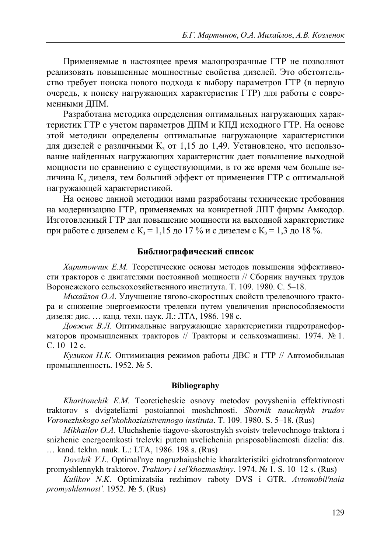Применяемые в настоящее время малопрозрачные ГТР не позволяют реализовать повышенные мощностные свойства дизелей. Это обстоятельство требует поиска нового подхода к выбору параметров ГТР (в первую очередь, к поиску нагружающих характеристик ГТР) для работы с современными ДПМ.

Разработана методика определения оптимальных нагружающих характеристик ГТР с учетом параметров ДПМ и КПД исходного ГТР. На основе этой методики определены оптимальные нагружающие характеристики для дизелей с различными К<sub>з</sub> от 1,15 до 1,49. Установлено, что использование найденных нагружающих характеристик дает повышение выходной мощности по сравнению с существующими, в то же время чем больше величина К, дизеля, тем больший эффект от применения ГТР с оптимальной нагружающей характеристикой.

На основе данной методики нами разработаны технические требования на модернизацию ГТР, применяемых на конкретной ЛПТ фирмы Амкодор. Изготовленный ГТР дал повышение мощности на выходной характеристике при работе с дизелем с  $K<sub>3</sub> = 1,15$  до 17 % и с дизелем с  $K<sub>3</sub> = 1,3$  до 18 %.

### Библиографический список

Харитончик Е.М. Теоретические основы методов повышения эффективности тракторов с двигателями постоянной мощности // Сборник научных трудов Воронежского сельскохозяйственного института. Т. 109. 1980. С. 5-18.

Михайлов О.А. Улучшение тягово-скоростных свойств трелевочного трактора и снижение энергоемкости трелевки путем увеличения приспособляемости дизеля: дис. ... канд. техн. наук. Л.: ЛТА, 1986. 198 с.

Довжик В.Л. Оптимальные нагружающие характеристики гидротрансформаторов промышленных тракторов // Тракторы и сельхозмашины. 1974. № 1. C.  $10-12$  c.

Куликов Н.К. Оптимизация режимов работы ДВС и ГТР // Автомобильная промышленность. 1952. № 5.

#### **Bibliography**

Kharitonchik E.M. Teoreticheskie osnovy metodov povyshenija effektivnosti traktorov s dvigateliami postojannoj moshchnosti. Sbornik nauchnykh trudov Voronezhskogo sel'skokhoziaistvennogo instituta. T. 109. 1980. S. 5–18. (Rus)

Mikhailov O.A. Uluchshenie tiagovo-skorostnykh svoistv trelevochnogo traktora i snizhenie energoemkosti trelevki putem uvelicheniia prisposobliaemosti dizelia: dis. ... kand. tekhn. nauk. L.: LTA, 1986. 198 s. (Rus)

Dovzhik V.L. Optimal'nye nagruzhajushchie kharakteristiki gidrotransformatorov promyshlennykh traktorov. Traktory i sel'khozmashiny. 1974. № 1. S. 10–12 s. (Rus)

Kulikov N.K. Optimizatsiia rezhimov raboty DVS i GTR. Avtomobil'naia promyshlennost'. 1952.  $N_2$  5. (Rus)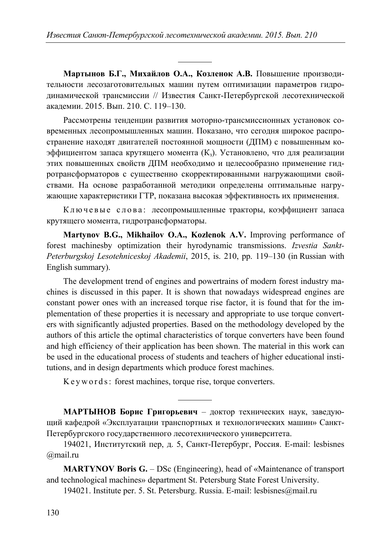$\overline{a}$ 

**Мартынов Б.Г., Михайлов О.А., Козленок А.В.** Повышение производительности лесозаготовительных машин путем оптимизации параметров гидродинамической трансмиссии // Известия Санкт-Петербургской лесотехнической акалемии. 2015. Вып. 210. С. 119–130.

Рассмотрены тенденции развития моторно-трансмиссионных установок современных лесопромышленных машин. Показано, что сегодня широкое распространение находят двигателей постоянной мощности (ДПМ) с повышенным коэффициентом запаса крутящего момента  $(K_3)$ . Установлено, что для реализации этих повышенных свойств ЛПМ необходимо и целесообразно применение гидротрансформаторов с существенно скорректированными нагружающими свойствами. На основе разработанной методики определены оптимальные нагружающие характеристики ГТР, показана высокая эффективность их применения.

Ключевые слова: лесопромышленные тракторы, коэффициент запаса крутящего момента, гидротрансформаторы.

**Martynov B.G., Mikhailov O.A., Kozlenok A.V.** Improving performance of forest machinesby optimization their hyrodynamic transmissions. *Izvestia Sankt-Peterburgskoj Lesotehniceskoj Akademii*, 2015, is. 210, pp. 119–130 (in Russian with English summary).

The development trend of engines and powertrains of modern forest industry machines is discussed in this paper. It is shown that nowadays widespread engines are constant power ones with an increased torque rise factor, it is found that for the implementation of these properties it is necessary and appropriate to use torque converters with significantly adjusted properties. Based on the methodology developed by the authors of this article the optimal characteristics of torque converters have been found and high efficiency of their application has been shown. The material in this work can be used in the educational process of students and teachers of higher educational institutions, and in design departments which produce forest machines.

Keywords: forest machines, torque rise, torque converters.

 $\overline{a}$ 

**МАРТЫНОВ Борис Григорьевич** – доктор технических наук, заведующий кафедрой «Эксплуатации транспортных и технологических машин» Санкт-Петербургского государственного лесотехнического университета.

194021, Институтский пер, д. 5, Санкт-Петербург, Россия. E-mail: lesbisnes @mail.ru

**MARTYNOV Boris G.** – DSc (Engineering), head of «Maintenance of transport and technological machines» department St. Petersburg State Forest University.

194021. Institute per. 5. St. Petersburg. Russia. E-mail: lesbisnes@mail.ru